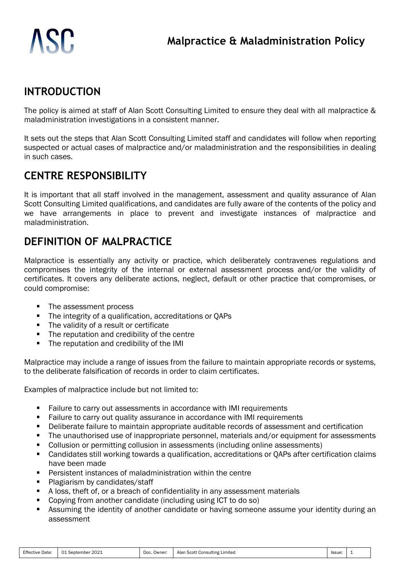# **INTRODUCTION**

The policy is aimed at staff of Alan Scott Consulting Limited to ensure they deal with all malpractice & maladministration investigations in a consistent manner.

It sets out the steps that Alan Scott Consulting Limited staff and candidates will follow when reporting suspected or actual cases of malpractice and/or maladministration and the responsibilities in dealing in such cases.

# **CENTRE RESPONSIBILITY**

It is important that all staff involved in the management, assessment and quality assurance of Alan Scott Consulting Limited qualifications, and candidates are fully aware of the contents of the policy and we have arrangements in place to prevent and investigate instances of malpractice and maladministration.

# **DEFINITION OF MALPRACTICE**

Malpractice is essentially any activity or practice, which deliberately contravenes regulations and compromises the integrity of the internal or external assessment process and/or the validity of certificates. It covers any deliberate actions, neglect, default or other practice that compromises, or could compromise:

- The assessment process
- The integrity of a qualification, accreditations or QAPs
- The validity of a result or certificate
- The reputation and credibility of the centre
- The reputation and credibility of the IMI

Malpractice may include a range of issues from the failure to maintain appropriate records or systems, to the deliberate falsification of records in order to claim certificates.

Examples of malpractice include but not limited to:

- Failure to carry out assessments in accordance with IMI requirements
- Failure to carry out quality assurance in accordance with IMI requirements
- Deliberate failure to maintain appropriate auditable records of assessment and certification
- The unauthorised use of inappropriate personnel, materials and/or equipment for assessments
- Collusion or permitting collusion in assessments (including online assessments)
- Candidates still working towards a qualification, accreditations or QAPs after certification claims have been made
- Persistent instances of maladministration within the centre
- Plagiarism by candidates/staff
- A loss, theft of, or a breach of confidentiality in any assessment materials
- Copying from another candidate (including using ICT to do so)
- Assuming the identity of another candidate or having someone assume your identity during an assessment

| <b>Effective Date:</b><br>September 2021<br>O.<br>the contract of the contract of the | Doc.<br>Owner: | Alan Scott Consulting Limited | Issue: |  |
|---------------------------------------------------------------------------------------|----------------|-------------------------------|--------|--|
|---------------------------------------------------------------------------------------|----------------|-------------------------------|--------|--|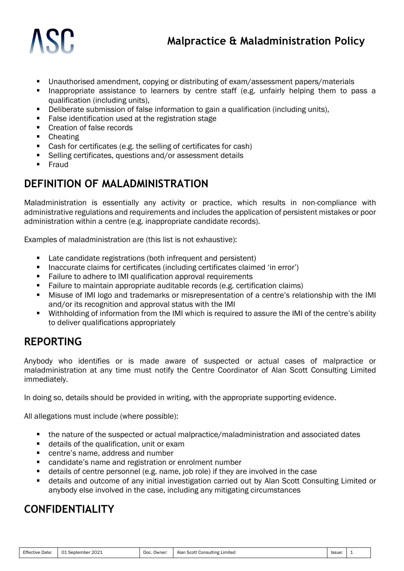- Unauthorised amendment, copying or distributing of exam/assessment papers/materials
- Inappropriate assistance to learners by centre staff (e.g. unfairly helping them to pass a qualification (including units),
- Deliberate submission of false information to gain a qualification (including units),
- False identification used at the registration stage
- Creation of false records
- Cheating
- Cash for certificates (e.g. the selling of certificates for cash)
- Selling certificates, questions and/or assessment details
- Fraud

#### **DEFINITION OF MALADMINISTRATION**

Maladministration is essentially any activity or practice, which results in non-compliance with administrative regulations and requirements and includes the application of persistent mistakes or poor administration within a centre (e.g. inappropriate candidate records).

Examples of maladministration are (this list is not exhaustive):

- Late candidate registrations (both infrequent and persistent)
- Inaccurate claims for certificates (including certificates claimed 'in error')
- Failure to adhere to IMI qualification approval requirements
- Failure to maintain appropriate auditable records (e.g. certification claims)
- Misuse of IMI logo and trademarks or misrepresentation of a centre's relationship with the IMI and/or its recognition and approval status with the IMI
- Withholding of information from the IMI which is required to assure the IMI of the centre's ability to deliver qualifications appropriately

### **REPORTING**

Anybody who identifies or is made aware of suspected or actual cases of malpractice or maladministration at any time must notify the Centre Coordinator of Alan Scott Consulting Limited immediately.

In doing so, details should be provided in writing, with the appropriate supporting evidence.

All allegations must include (where possible):

- the nature of the suspected or actual malpractice/maladministration and associated dates
- details of the qualification, unit or exam
- centre's name, address and number
- candidate's name and registration or enrolment number
- details of centre personnel (e.g. name, job role) if they are involved in the case
- details and outcome of any initial investigation carried out by Alan Scott Consulting Limited or anybody else involved in the case, including any mitigating circumstances

#### **CONFIDENTIALITY**

| <b>Effective Date:</b> | .2021<br>01<br>September | Doc.<br>Owner: | า Scott Consulting Limited<br>Alan | Issue: |  |
|------------------------|--------------------------|----------------|------------------------------------|--------|--|
|------------------------|--------------------------|----------------|------------------------------------|--------|--|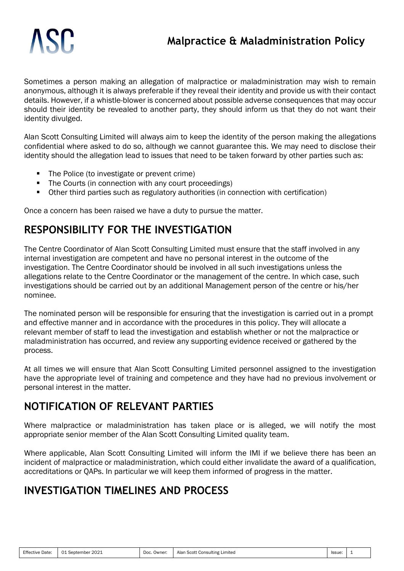Sometimes a person making an allegation of malpractice or maladministration may wish to remain anonymous, although it is always preferable if they reveal their identity and provide us with their contact details. However, if a whistle-blower is concerned about possible adverse consequences that may occur should their identity be revealed to another party, they should inform us that they do not want their identity divulged.

Alan Scott Consulting Limited will always aim to keep the identity of the person making the allegations confidential where asked to do so, although we cannot guarantee this. We may need to disclose their identity should the allegation lead to issues that need to be taken forward by other parties such as:

- The Police (to investigate or prevent crime)
- The Courts (in connection with any court proceedings)
- Other third parties such as regulatory authorities (in connection with certification)

Once a concern has been raised we have a duty to pursue the matter.

## **RESPONSIBILITY FOR THE INVESTIGATION**

The Centre Coordinator of Alan Scott Consulting Limited must ensure that the staff involved in any internal investigation are competent and have no personal interest in the outcome of the investigation. The Centre Coordinator should be involved in all such investigations unless the allegations relate to the Centre Coordinator or the management of the centre. In which case, such investigations should be carried out by an additional Management person of the centre or his/her nominee.

The nominated person will be responsible for ensuring that the investigation is carried out in a prompt and effective manner and in accordance with the procedures in this policy. They will allocate a relevant member of staff to lead the investigation and establish whether or not the malpractice or maladministration has occurred, and review any supporting evidence received or gathered by the process.

At all times we will ensure that Alan Scott Consulting Limited personnel assigned to the investigation have the appropriate level of training and competence and they have had no previous involvement or personal interest in the matter.

# **NOTIFICATION OF RELEVANT PARTIES**

Where malpractice or maladministration has taken place or is alleged, we will notify the most appropriate senior member of the Alan Scott Consulting Limited quality team.

Where applicable, Alan Scott Consulting Limited will inform the IMI if we believe there has been an incident of malpractice or maladministration, which could either invalidate the award of a qualification, accreditations or QAPs. In particular we will keep them informed of progress in the matter.

# **INVESTIGATION TIMELINES AND PROCESS**

| Effective<br>Date: | 2021<br>$\mathbf{A}$<br>September | Doc.<br>Owner <sup>.</sup> | Consulting<br>Limited<br>، Scott<br>Alan | 'ssue: |  |
|--------------------|-----------------------------------|----------------------------|------------------------------------------|--------|--|
|                    |                                   |                            |                                          |        |  |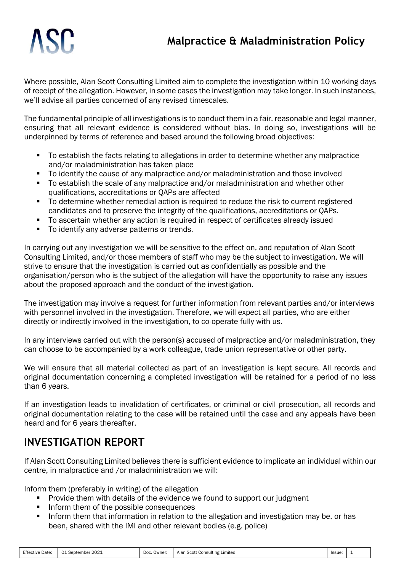## **Malpractice & Maladministration Policy**



Where possible, Alan Scott Consulting Limited aim to complete the investigation within 10 working days of receipt of the allegation. However, in some cases the investigation may take longer. In such instances, we'll advise all parties concerned of any revised timescales.

The fundamental principle of all investigations is to conduct them in a fair, reasonable and legal manner, ensuring that all relevant evidence is considered without bias. In doing so, investigations will be underpinned by terms of reference and based around the following broad objectives:

- To establish the facts relating to allegations in order to determine whether any malpractice and/or maladministration has taken place
- To identify the cause of any malpractice and/or maladministration and those involved
- To establish the scale of any malpractice and/or maladministration and whether other qualifications, accreditations or QAPs are affected
- To determine whether remedial action is required to reduce the risk to current registered candidates and to preserve the integrity of the qualifications, accreditations or QAPs.
- To ascertain whether any action is required in respect of certificates already issued
- To identify any adverse patterns or trends.

In carrying out any investigation we will be sensitive to the effect on, and reputation of Alan Scott Consulting Limited, and/or those members of staff who may be the subject to investigation. We will strive to ensure that the investigation is carried out as confidentially as possible and the organisation/person who is the subject of the allegation will have the opportunity to raise any issues about the proposed approach and the conduct of the investigation.

The investigation may involve a request for further information from relevant parties and/or interviews with personnel involved in the investigation. Therefore, we will expect all parties, who are either directly or indirectly involved in the investigation, to co-operate fully with us.

In any interviews carried out with the person(s) accused of malpractice and/or maladministration, they can choose to be accompanied by a work colleague, trade union representative or other party.

We will ensure that all material collected as part of an investigation is kept secure. All records and original documentation concerning a completed investigation will be retained for a period of no less than 6 years.

If an investigation leads to invalidation of certificates, or criminal or civil prosecution, all records and original documentation relating to the case will be retained until the case and any appeals have been heard and for 6 years thereafter.

# **INVESTIGATION REPORT**

If Alan Scott Consulting Limited believes there is sufficient evidence to implicate an individual within our centre, in malpractice and /or maladministration we will:

Inform them (preferably in writing) of the allegation

- Provide them with details of the evidence we found to support our judgment
- Inform them of the possible consequences
- Inform them that information in relation to the allegation and investigation may be, or has been, shared with the IMI and other relevant bodies (e.g. police)

| <b>Effective Date:</b> | 2021<br>$\bigcap$<br>September | Doc.<br>Owner | $\cdots$<br>. Scott<br>. Consulting :<br>Limited<br>Alar | Issue: |  |
|------------------------|--------------------------------|---------------|----------------------------------------------------------|--------|--|
|------------------------|--------------------------------|---------------|----------------------------------------------------------|--------|--|